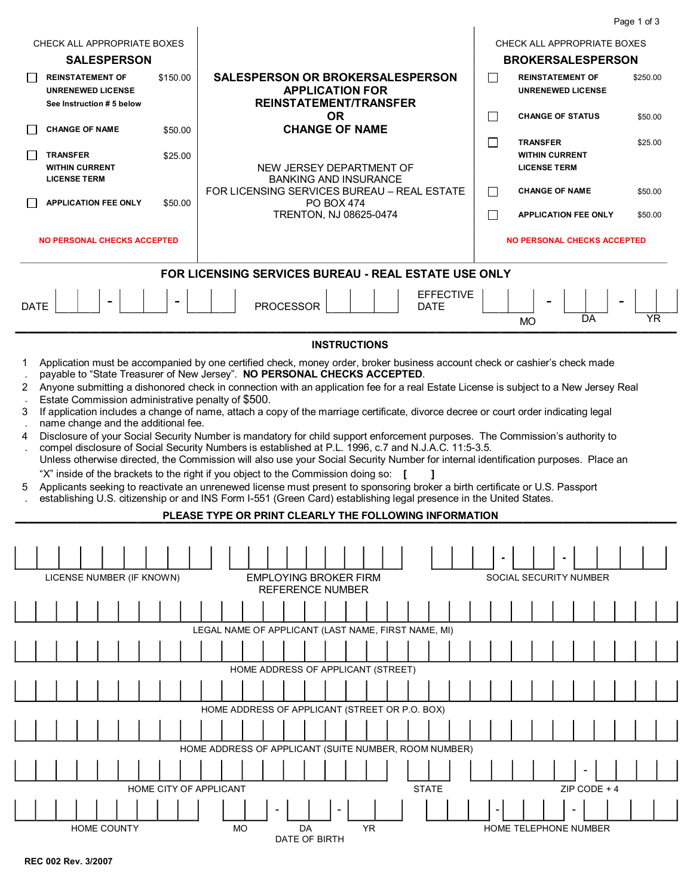|                                                                                                                                                                                                                                                                                                                                                                                                                                                                                                                                                                                                                                                                                                                                                                                                                                                                                                                                                                                                                                                                                                                                                                                                                                                                                                                                                                                                |                                                                                             | Page 1 of 3                                                          |  |  |
|------------------------------------------------------------------------------------------------------------------------------------------------------------------------------------------------------------------------------------------------------------------------------------------------------------------------------------------------------------------------------------------------------------------------------------------------------------------------------------------------------------------------------------------------------------------------------------------------------------------------------------------------------------------------------------------------------------------------------------------------------------------------------------------------------------------------------------------------------------------------------------------------------------------------------------------------------------------------------------------------------------------------------------------------------------------------------------------------------------------------------------------------------------------------------------------------------------------------------------------------------------------------------------------------------------------------------------------------------------------------------------------------|---------------------------------------------------------------------------------------------|----------------------------------------------------------------------|--|--|
| CHECK ALL APPROPRIATE BOXES                                                                                                                                                                                                                                                                                                                                                                                                                                                                                                                                                                                                                                                                                                                                                                                                                                                                                                                                                                                                                                                                                                                                                                                                                                                                                                                                                                    |                                                                                             | CHECK ALL APPROPRIATE BOXES                                          |  |  |
| <b>SALESPERSON</b>                                                                                                                                                                                                                                                                                                                                                                                                                                                                                                                                                                                                                                                                                                                                                                                                                                                                                                                                                                                                                                                                                                                                                                                                                                                                                                                                                                             |                                                                                             | <b>BROKERSALESPERSON</b>                                             |  |  |
| <b>REINSTATEMENT OF</b><br>\$150.00<br><b>UNRENEWED LICENSE</b><br>See Instruction # 5 below                                                                                                                                                                                                                                                                                                                                                                                                                                                                                                                                                                                                                                                                                                                                                                                                                                                                                                                                                                                                                                                                                                                                                                                                                                                                                                   | SALESPERSON OR BROKERSALESPERSON<br><b>APPLICATION FOR</b><br><b>REINSTATEMENT/TRANSFER</b> | П<br><b>REINSTATEMENT OF</b><br>\$250.00<br><b>UNRENEWED LICENSE</b> |  |  |
| <b>CHANGE OF NAME</b><br>\$50.00                                                                                                                                                                                                                                                                                                                                                                                                                                                                                                                                                                                                                                                                                                                                                                                                                                                                                                                                                                                                                                                                                                                                                                                                                                                                                                                                                               | <b>OR</b><br><b>CHANGE OF NAME</b>                                                          | П<br><b>CHANGE OF STATUS</b><br>\$50.00                              |  |  |
|                                                                                                                                                                                                                                                                                                                                                                                                                                                                                                                                                                                                                                                                                                                                                                                                                                                                                                                                                                                                                                                                                                                                                                                                                                                                                                                                                                                                |                                                                                             | П<br><b>TRANSFER</b><br>\$25.00                                      |  |  |
| <b>TRANSFER</b><br>\$25.00<br><b>WITHIN CURRENT</b><br><b>LICENSE TERM</b>                                                                                                                                                                                                                                                                                                                                                                                                                                                                                                                                                                                                                                                                                                                                                                                                                                                                                                                                                                                                                                                                                                                                                                                                                                                                                                                     | NEW JERSEY DEPARTMENT OF<br><b>BANKING AND INSURANCE</b>                                    | <b>WITHIN CURRENT</b><br><b>LICENSE TERM</b>                         |  |  |
| <b>APPLICATION FEE ONLY</b><br>\$50.00                                                                                                                                                                                                                                                                                                                                                                                                                                                                                                                                                                                                                                                                                                                                                                                                                                                                                                                                                                                                                                                                                                                                                                                                                                                                                                                                                         | FOR LICENSING SERVICES BUREAU - REAL ESTATE<br><b>PO BOX 474</b>                            | □<br><b>CHANGE OF NAME</b><br>\$50.00                                |  |  |
|                                                                                                                                                                                                                                                                                                                                                                                                                                                                                                                                                                                                                                                                                                                                                                                                                                                                                                                                                                                                                                                                                                                                                                                                                                                                                                                                                                                                | TRENTON, NJ 08625-0474                                                                      | П<br><b>APPLICATION FEE ONLY</b><br>\$50.00                          |  |  |
| <b>NO PERSONAL CHECKS ACCEPTED</b>                                                                                                                                                                                                                                                                                                                                                                                                                                                                                                                                                                                                                                                                                                                                                                                                                                                                                                                                                                                                                                                                                                                                                                                                                                                                                                                                                             |                                                                                             | <b>NO PERSONAL CHECKS ACCEPTED</b>                                   |  |  |
|                                                                                                                                                                                                                                                                                                                                                                                                                                                                                                                                                                                                                                                                                                                                                                                                                                                                                                                                                                                                                                                                                                                                                                                                                                                                                                                                                                                                | FOR LICENSING SERVICES BUREAU - REAL ESTATE USE ONLY                                        |                                                                      |  |  |
| $\blacksquare$<br><b>DATE</b>                                                                                                                                                                                                                                                                                                                                                                                                                                                                                                                                                                                                                                                                                                                                                                                                                                                                                                                                                                                                                                                                                                                                                                                                                                                                                                                                                                  | <b>EFFECTIVE</b><br><b>PROCESSOR</b><br><b>DATE</b>                                         | YR<br>DA<br><b>MO</b>                                                |  |  |
|                                                                                                                                                                                                                                                                                                                                                                                                                                                                                                                                                                                                                                                                                                                                                                                                                                                                                                                                                                                                                                                                                                                                                                                                                                                                                                                                                                                                | <b>INSTRUCTIONS</b>                                                                         |                                                                      |  |  |
| Application must be accompanied by one certified check, money order, broker business account check or cashier's check made<br>1<br>payable to "State Treasurer of New Jersey". NO PERSONAL CHECKS ACCEPTED.<br>Anyone submitting a dishonored check in connection with an application fee for a real Estate License is subject to a New Jersey Real<br>2<br>Estate Commission administrative penalty of \$500.<br>If application includes a change of name, attach a copy of the marriage certificate, divorce decree or court order indicating legal<br>3<br>name change and the additional fee.<br>Disclosure of your Social Security Number is mandatory for child support enforcement purposes. The Commission's authority to<br>4<br>compel disclosure of Social Security Numbers is established at P.L. 1996, c.7 and N.J.A.C. 11:5-3.5.<br>Unless otherwise directed, the Commission will also use your Social Security Number for internal identification purposes. Place an<br>"X" inside of the brackets to the right if you object to the Commission doing so:<br>Applicants seeking to reactivate an unrenewed license must present to sponsoring broker a birth certificate or U.S. Passport<br>5<br>establishing U.S. citizenship or and INS Form I-551 (Green Card) establishing legal presence in the United States.<br>PLEASE TYPE OR PRINT CLEARLY THE FOLLOWING INFORMATION |                                                                                             |                                                                      |  |  |
|                                                                                                                                                                                                                                                                                                                                                                                                                                                                                                                                                                                                                                                                                                                                                                                                                                                                                                                                                                                                                                                                                                                                                                                                                                                                                                                                                                                                |                                                                                             |                                                                      |  |  |
|                                                                                                                                                                                                                                                                                                                                                                                                                                                                                                                                                                                                                                                                                                                                                                                                                                                                                                                                                                                                                                                                                                                                                                                                                                                                                                                                                                                                |                                                                                             |                                                                      |  |  |
| LICENSE NUMBER (IF KNOWN)<br><b>EMPLOYING BROKER FIRM</b><br>SOCIAL SECURITY NUMBER<br><b>REFERENCE NUMBER</b>                                                                                                                                                                                                                                                                                                                                                                                                                                                                                                                                                                                                                                                                                                                                                                                                                                                                                                                                                                                                                                                                                                                                                                                                                                                                                 |                                                                                             |                                                                      |  |  |
|                                                                                                                                                                                                                                                                                                                                                                                                                                                                                                                                                                                                                                                                                                                                                                                                                                                                                                                                                                                                                                                                                                                                                                                                                                                                                                                                                                                                |                                                                                             |                                                                      |  |  |
|                                                                                                                                                                                                                                                                                                                                                                                                                                                                                                                                                                                                                                                                                                                                                                                                                                                                                                                                                                                                                                                                                                                                                                                                                                                                                                                                                                                                | LEGAL NAME OF APPLICANT (LAST NAME, FIRST NAME, MI)                                         |                                                                      |  |  |
|                                                                                                                                                                                                                                                                                                                                                                                                                                                                                                                                                                                                                                                                                                                                                                                                                                                                                                                                                                                                                                                                                                                                                                                                                                                                                                                                                                                                |                                                                                             |                                                                      |  |  |
|                                                                                                                                                                                                                                                                                                                                                                                                                                                                                                                                                                                                                                                                                                                                                                                                                                                                                                                                                                                                                                                                                                                                                                                                                                                                                                                                                                                                | HOME ADDRESS OF APPLICANT (STREET)                                                          |                                                                      |  |  |
|                                                                                                                                                                                                                                                                                                                                                                                                                                                                                                                                                                                                                                                                                                                                                                                                                                                                                                                                                                                                                                                                                                                                                                                                                                                                                                                                                                                                | HOME ADDRESS OF APPLICANT (STREET OR P.O. BOX)                                              |                                                                      |  |  |
|                                                                                                                                                                                                                                                                                                                                                                                                                                                                                                                                                                                                                                                                                                                                                                                                                                                                                                                                                                                                                                                                                                                                                                                                                                                                                                                                                                                                |                                                                                             |                                                                      |  |  |
|                                                                                                                                                                                                                                                                                                                                                                                                                                                                                                                                                                                                                                                                                                                                                                                                                                                                                                                                                                                                                                                                                                                                                                                                                                                                                                                                                                                                | HOME ADDRESS OF APPLICANT (SUITE NUMBER, ROOM NUMBER)                                       |                                                                      |  |  |
|                                                                                                                                                                                                                                                                                                                                                                                                                                                                                                                                                                                                                                                                                                                                                                                                                                                                                                                                                                                                                                                                                                                                                                                                                                                                                                                                                                                                |                                                                                             |                                                                      |  |  |
| HOME CITY OF APPLICANT                                                                                                                                                                                                                                                                                                                                                                                                                                                                                                                                                                                                                                                                                                                                                                                                                                                                                                                                                                                                                                                                                                                                                                                                                                                                                                                                                                         | <b>STATE</b>                                                                                | ZIP CODE + 4                                                         |  |  |
| <b>HOME COUNTY</b>                                                                                                                                                                                                                                                                                                                                                                                                                                                                                                                                                                                                                                                                                                                                                                                                                                                                                                                                                                                                                                                                                                                                                                                                                                                                                                                                                                             | <b>MO</b><br>DA<br>YR.                                                                      | HOME TELEPHONE NUMBER                                                |  |  |
|                                                                                                                                                                                                                                                                                                                                                                                                                                                                                                                                                                                                                                                                                                                                                                                                                                                                                                                                                                                                                                                                                                                                                                                                                                                                                                                                                                                                | DATE OF BIRTH                                                                               |                                                                      |  |  |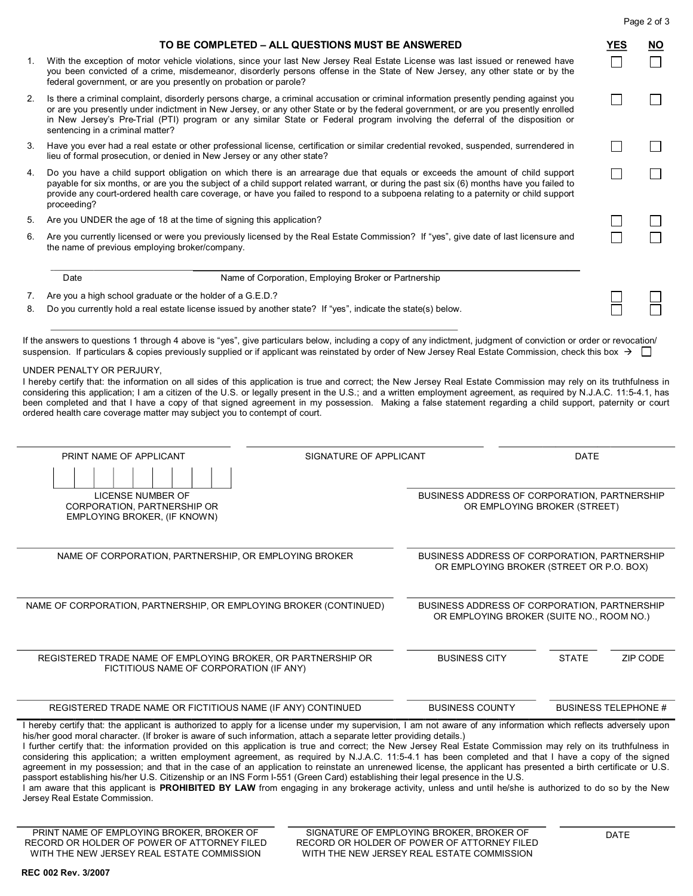|    | TO BE COMPLETED - ALL QUESTIONS MUST BE ANSWERED                                                                                                                                                                                                                                                                                                                                                                                                 | YES                         | <b>NO</b> |  |
|----|--------------------------------------------------------------------------------------------------------------------------------------------------------------------------------------------------------------------------------------------------------------------------------------------------------------------------------------------------------------------------------------------------------------------------------------------------|-----------------------------|-----------|--|
| 1. | With the exception of motor vehicle violations, since your last New Jersey Real Estate License was last issued or renewed have<br>you been convicted of a crime, misdemeanor, disorderly persons offense in the State of New Jersey, any other state or by the<br>federal government, or are you presently on probation or parole?                                                                                                               |                             |           |  |
| 2. | Is there a criminal complaint, disorderly persons charge, a criminal accusation or criminal information presently pending against you<br>or are you presently under indictment in New Jersey, or any other State or by the federal government, or are you presently enrolled<br>in New Jersey's Pre-Trial (PTI) program or any similar State or Federal program involving the deferral of the disposition or<br>sentencing in a criminal matter? |                             |           |  |
| 3. | Have you ever had a real estate or other professional license, certification or similar credential revoked, suspended, surrendered in<br>lieu of formal prosecution, or denied in New Jersey or any other state?                                                                                                                                                                                                                                 |                             |           |  |
| 4. |                                                                                                                                                                                                                                                                                                                                                                                                                                                  |                             |           |  |
| 5. | Are you UNDER the age of 18 at the time of signing this application?                                                                                                                                                                                                                                                                                                                                                                             |                             |           |  |
| 6. | Are you currently licensed or were you previously licensed by the Real Estate Commission? If "yes", give date of last licensure and<br>the name of previous employing broker/company.                                                                                                                                                                                                                                                            |                             |           |  |
|    | Name of Corporation, Employing Broker or Partnership<br>Date                                                                                                                                                                                                                                                                                                                                                                                     |                             |           |  |
| 7. | Are you a high school graduate or the holder of a G.E.D.?                                                                                                                                                                                                                                                                                                                                                                                        |                             |           |  |
| 8. | Do you currently hold a real estate license issued by another state? If "yes", indicate the state(s) below.                                                                                                                                                                                                                                                                                                                                      |                             |           |  |
|    | been completed and that I have a copy of that signed agreement in my possession. Making a false statement regarding a child support, paternity or court<br>ordered health care coverage matter may subject you to contempt of court.                                                                                                                                                                                                             |                             |           |  |
|    | PRINT NAME OF APPLICANT<br>SIGNATURE OF APPLICANT                                                                                                                                                                                                                                                                                                                                                                                                | <b>DATE</b>                 |           |  |
|    |                                                                                                                                                                                                                                                                                                                                                                                                                                                  |                             |           |  |
|    | LICENSE NUMBER OF<br>BUSINESS ADDRESS OF CORPORATION, PARTNERSHIP<br>CORPORATION, PARTNERSHIP OR<br>OR EMPLOYING BROKER (STREET)<br>EMPLOYING BROKER, (IF KNOWN)                                                                                                                                                                                                                                                                                 |                             |           |  |
|    | NAME OF CORPORATION, PARTNERSHIP, OR EMPLOYING BROKER<br>BUSINESS ADDRESS OF CORPORATION, PARTNERSHIP<br>OR EMPLOYING BROKER (STREET OR P.O. BOX)                                                                                                                                                                                                                                                                                                |                             |           |  |
|    | NAME OF CORPORATION, PARTNERSHIP, OR EMPLOYING BROKER (CONTINUED)<br>BUSINESS ADDRESS OF CORPORATION, PARTNERSHIP<br>OR EMPLOYING BROKER (SUITE NO., ROOM NO.)                                                                                                                                                                                                                                                                                   |                             |           |  |
|    | REGISTERED TRADE NAME OF EMPLOYING BROKER, OR PARTNERSHIP OR<br><b>BUSINESS CITY</b><br><b>STATE</b><br>FICTITIOUS NAME OF CORPORATION (IF ANY)                                                                                                                                                                                                                                                                                                  |                             | ZIP CODE  |  |
|    | <b>BUSINESS COUNTY</b><br>REGISTERED TRADE NAME OR FICTITIOUS NAME (IF ANY) CONTINUED                                                                                                                                                                                                                                                                                                                                                            | <b>BUSINESS TELEPHONE #</b> |           |  |

I further certify that: the information provided on this application is true and correct; the New Jersey Real Estate Commission may rely on its truthfulness in considering this application; a written employment agreement, as required by N.J.A.C. 11:54.1 has been completed and that I have a copy of the signed agreement in my possession; and that in the case of an application to reinstate an unrenewed license, the applicant has presented a birth certificate or U.S. passport establishing his/her U.S. Citizenship or an INS Form I-551 (Green Card) establishing their legal presence in the U.S.

I am aware that this applicant is **PROHIBITED BY LAW** from engaging in any brokerage activity, unless and until he/she is authorized to do so by the New Jersey Real Estate Commission.

**REC 002 Rev. 3/2007**

Page 2 of 3